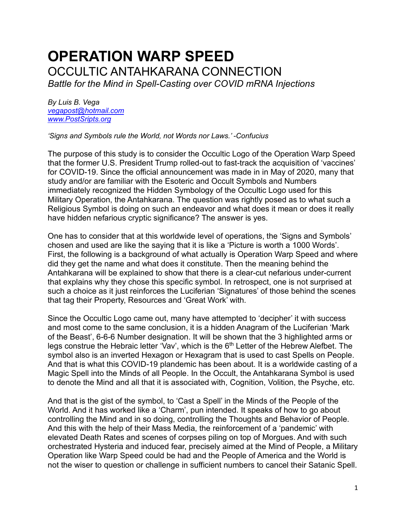## **OPERATION WARP SPEED**  OCCULTIC ANTAHKARANA CONNECTION

*Battle for the Mind in Spell-Casting over COVID mRNA Injections*

*By Luis B. Vega [vegapost@hotmail.com](mailto:vegapost@hotmail.com) [www.PostSripts.org](http://www.postsripts.org/)*

*'Signs and Symbols rule the World, not Words nor Laws.' -Confucius* 

The purpose of this study is to consider the Occultic Logo of the Operation Warp Speed that the former U.S. President Trump rolled-out to fast-track the acquisition of 'vaccines' for COVID-19. Since the official announcement was made in in May of 2020, many that study and/or are familiar with the Esoteric and Occult Symbols and Numbers immediately recognized the Hidden Symbology of the Occultic Logo used for this Military Operation, the Antahkarana. The question was rightly posed as to what such a Religious Symbol is doing on such an endeavor and what does it mean or does it really have hidden nefarious cryptic significance? The answer is yes.

One has to consider that at this worldwide level of operations, the 'Signs and Symbols' chosen and used are like the saying that it is like a 'Picture is worth a 1000 Words'. First, the following is a background of what actually is Operation Warp Speed and where did they get the name and what does it constitute. Then the meaning behind the Antahkarana will be explained to show that there is a clear-cut nefarious under-current that explains why they chose this specific symbol. In retrospect, one is not surprised at such a choice as it just reinforces the Luciferian 'Signatures' of those behind the scenes that tag their Property, Resources and 'Great Work' with.

Since the Occultic Logo came out, many have attempted to 'decipher' it with success and most come to the same conclusion, it is a hidden Anagram of the Luciferian 'Mark of the Beast', 6-6-6 Number designation. It will be shown that the 3 highlighted arms or legs construe the Hebraic letter 'Vav', which is the 6<sup>th</sup> Letter of the Hebrew Alefbet. The symbol also is an inverted Hexagon or Hexagram that is used to cast Spells on People. And that is what this COVID-19 plandemic has been about. It is a worldwide casting of a Magic Spell into the Minds of all People. In the Occult, the Antahkarana Symbol is used to denote the Mind and all that it is associated with, Cognition, Volition, the Psyche, etc.

And that is the gist of the symbol, to 'Cast a Spell' in the Minds of the People of the World. And it has worked like a 'Charm', pun intended. It speaks of how to go about controlling the Mind and in so doing, controlling the Thoughts and Behavior of People. And this with the help of their Mass Media, the reinforcement of a 'pandemic' with elevated Death Rates and scenes of corpses piling on top of Morgues. And with such orchestrated Hysteria and induced fear, precisely aimed at the Mind of People, a Military Operation like Warp Speed could be had and the People of America and the World is not the wiser to question or challenge in sufficient numbers to cancel their Satanic Spell.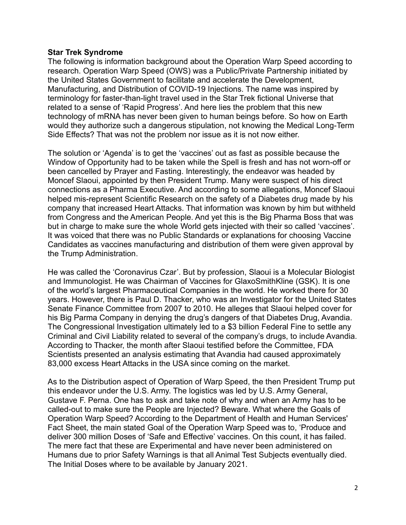## **Star Trek Syndrome**

The following is information background about the Operation Warp Speed according to research. Operation Warp Speed (OWS) was a Public/Private Partnership initiated by the United States Government to facilitate and accelerate the Development, Manufacturing, and Distribution of COVID-19 Injections. The name was inspired by terminology for faster-than-light travel used in the Star Trek fictional Universe that related to a sense of 'Rapid Progress'. And here lies the problem that this new technology of mRNA has never been given to human beings before. So how on Earth would they authorize such a dangerous stipulation, not knowing the Medical Long-Term Side Effects? That was not the problem nor issue as it is not now either.

The solution or 'Agenda' is to get the 'vaccines' out as fast as possible because the Window of Opportunity had to be taken while the Spell is fresh and has not worn-off or been cancelled by Prayer and Fasting. Interestingly, the endeavor was headed by Moncef Slaoui, appointed by then President Trump. Many were suspect of his direct connections as a Pharma Executive. And according to some allegations, Moncef Slaoui helped mis-represent Scientific Research on the safety of a Diabetes drug made by his company that increased Heart Attacks. That information was known by him but withheld from Congress and the American People. And yet this is the Big Pharma Boss that was but in charge to make sure the whole World gets injected with their so called 'vaccines'. It was voiced that there was no Public Standards or explanations for choosing Vaccine Candidates as vaccines manufacturing and distribution of them were given approval by the Trump Administration.

He was called the 'Coronavirus Czar'. But by profession, Slaoui is a Molecular Biologist and Immunologist. He was Chairman of Vaccines for GlaxoSmithKline (GSK). It is one of the world's largest Pharmaceutical Companies in the world. He worked there for 30 years. However, there is Paul D. Thacker, who was an Investigator for the United States Senate Finance Committee from 2007 to 2010. He alleges that Slaoui helped cover for his Big Parma Company in denying the drug's dangers of that Diabetes Drug, Avandia. The Congressional Investigation ultimately led to a \$3 billion Federal Fine to settle any Criminal and Civil Liability related to several of the company's drugs, to include Avandia. According to Thacker, the month after Slaoui testified before the Committee, FDA Scientists presented an analysis estimating that Avandia had caused approximately 83,000 excess Heart Attacks in the USA since coming on the market.

As to the Distribution aspect of Operation of Warp Speed, the then President Trump put this endeavor under the U.S. Army. The logistics was led by U.S. Army General, Gustave F. Perna. One has to ask and take note of why and when an Army has to be called-out to make sure the People are Injected? Beware. What where the Goals of Operation Warp Speed? According to the Department of Health and Human Services' Fact Sheet, the main stated Goal of the Operation Warp Speed was to, 'Produce and deliver 300 million Doses of 'Safe and Effective' vaccines. On this count, it has failed. The mere fact that these are Experimental and have never been administered on Humans due to prior Safety Warnings is that all Animal Test Subjects eventually died. The Initial Doses where to be available by January 2021.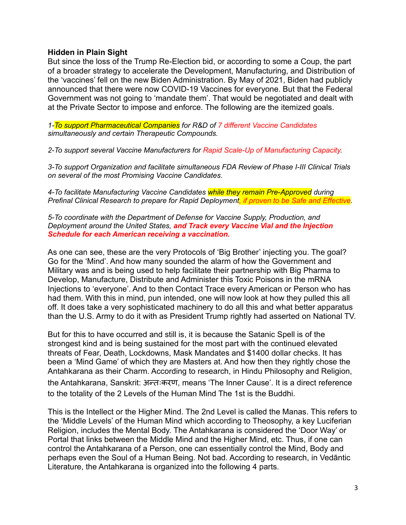## **Hidden in Plain Sight**

But since the loss of the Trump Re-Election bid, or according to some a Coup, the part of a broader strategy to accelerate the Development, Manufacturing, and Distribution of the 'vaccines' fell on the new Biden Administration. By May of 2021, Biden had publicly announced that there were now COVID-19 Vaccines for everyone. But that the Federal Government was not going to 'mandate them'. That would be negotiated and dealt with at the Private Sector to impose and enforce. The following are the itemized goals.

*1-To support Pharmaceutical Companies for R&D of 7 different Vaccine Candidates simultaneously and certain Therapeutic Compounds.*

*2-To support several Vaccine Manufacturers for Rapid Scale-Up of Manufacturing Capacity.*

*3-To support Organization and facilitate simultaneous FDA Review of Phase I-III Clinical Trials on several of the most Promising Vaccine Candidates.*

*4-To facilitate Manufacturing Vaccine Candidates while they remain Pre-Approved during Prefinal Clinical Research to prepare for Rapid Deployment, if proven to be Safe and Effective.*

*5-To coordinate with the Department of Defense for Vaccine Supply, Production, and Deployment around the United States, and Track every Vaccine Vial and the Injection Schedule for each American receiving a vaccination.*

As one can see, these are the very Protocols of 'Big Brother' injecting you. The goal? Go for the 'Mind'. And how many sounded the alarm of how the Government and Military was and is being used to help facilitate their partnership with Big Pharma to Develop, Manufacture, Distribute and Administer this Toxic Poisons in the mRNA Injections to 'everyone'. And to then Contact Trace every American or Person who has had them. With this in mind, pun intended, one will now look at how they pulled this all off. It does take a very sophisticated machinery to do all this and what better apparatus than the U.S. Army to do it with as President Trump rightly had asserted on National TV.

But for this to have occurred and still is, it is because the Satanic Spell is of the strongest kind and is being sustained for the most part with the continued elevated threats of Fear, Death, Lockdowns, Mask Mandates and \$1400 dollar checks. It has been a 'Mind Game' of which they are Masters at. And how then they rightly chose the Antahkarana as their Charm. According to research, in Hindu Philosophy and Religion, the Antahkarana, Sanskrit: अन्तःकरण, means 'The Inner Cause'. It is a direct reference to the totality of the 2 Levels of the Human Mind The 1st is the Buddhi.

This is the Intellect or the Higher Mind. The 2nd Level is called the Manas. This refers to the 'Middle Levels' of the Human Mind which according to Theosophy, a key Luciferian Religion, includes the Mental Body. The Antahkarana is considered the 'Door Way' or Portal that links between the Middle Mind and the Higher Mind, etc. Thus, if one can control the Antahkarana of a Person, one can essentially control the Mind, Body and perhaps even the Soul of a Human Being. Not bad. According to research, in Vedāntic Literature, the Antahkarana is organized into the following 4 parts.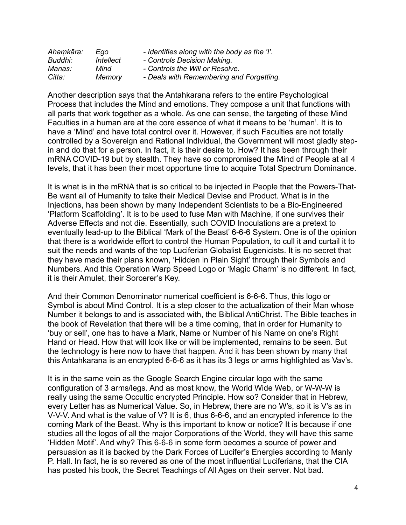| Ahamkāra: | Eao       | - Identifies along with the body as the 'I'. |
|-----------|-----------|----------------------------------------------|
| Buddhi:   | Intellect | - Controls Decision Making.                  |
| Manas:    | Mind      | - Controls the Will or Resolve.              |
| Citta:    | Memory    | - Deals with Remembering and Forgetting.     |

Another description says that the Antahkarana refers to the entire Psychological Process that includes the Mind and emotions. They compose a unit that functions with all parts that work together as a whole. As one can sense, the targeting of these Mind Faculties in a human are at the core essence of what it means to be 'human'. It is to have a 'Mind' and have total control over it. However, if such Faculties are not totally controlled by a Sovereign and Rational Individual, the Government will most gladly stepin and do that for a person. In fact, it is their desire to. How? It has been through their mRNA COVID-19 but by stealth. They have so compromised the Mind of People at all 4 levels, that it has been their most opportune time to acquire Total Spectrum Dominance.

It is what is in the mRNA that is so critical to be injected in People that the Powers-That-Be want all of Humanity to take their Medical Devise and Product. What is in the Injections, has been shown by many Independent Scientists to be a Bio-Engineered 'Platform Scaffolding'. It is to be used to fuse Man with Machine, if one survives their Adverse Effects and not die. Essentially, such COVID Inoculations are a pretext to eventually lead-up to the Biblical 'Mark of the Beast' 6-6-6 System. One is of the opinion that there is a worldwide effort to control the Human Population, to cull it and curtail it to suit the needs and wants of the top Luciferian Globalist Eugenicists. It is no secret that they have made their plans known, 'Hidden in Plain Sight' through their Symbols and Numbers. And this Operation Warp Speed Logo or 'Magic Charm' is no different. In fact, it is their Amulet, their Sorcerer's Key.

And their Common Denominator numerical coefficient is 6-6-6. Thus, this logo or Symbol is about Mind Control. It is a step closer to the actualization of their Man whose Number it belongs to and is associated with, the Biblical AntiChrist. The Bible teaches in the book of Revelation that there will be a time coming, that in order for Humanity to 'buy or sell', one has to have a Mark, Name or Number of his Name on one's Right Hand or Head. How that will look like or will be implemented, remains to be seen. But the technology is here now to have that happen. And it has been shown by many that this Antahkarana is an encrypted 6-6-6 as it has its 3 legs or arms highlighted as Vav's.

It is in the same vein as the Google Search Engine circular logo with the same configuration of 3 arms/legs. And as most know, the World Wide Web, or W-W-W is really using the same Occultic encrypted Principle. How so? Consider that in Hebrew, every Letter has as Numerical Value. So, in Hebrew, there are no W's, so it is V's as in V-V-V. And what is the value of V? It is 6, thus 6-6-6, and an encrypted inference to the coming Mark of the Beast. Why is this important to know or notice? It is because if one studies all the logos of all the major Corporations of the World, they will have this same 'Hidden Motif'. And why? This 6-6-6 in some form becomes a source of power and persuasion as it is backed by the Dark Forces of Lucifer's Energies according to Manly P. Hall. In fact, he is so revered as one of the most influential Luciferians, that the CIA has posted his book, the Secret Teachings of All Ages on their server. Not bad.